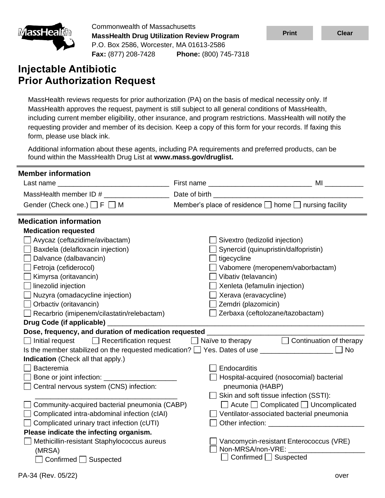

Commonwealth of Massachusetts **MassHealth Drug Utilization Review Program** P.O. Box 2586, Worcester, MA 01613-2586 **Fax:** (877) 208-7428 **Phone:** (800) 745-7318

# **Injectable Antibiotic Prior Authorization Request**

MassHealth reviews requests for prior authorization (PA) on the basis of medical necessity only. If MassHealth approves the request, payment is still subject to all general conditions of MassHealth, including current member eligibility, other insurance, and program restrictions. MassHealth will notify the requesting provider and member of its decision. Keep a copy of this form for your records. If faxing this form, please use black ink.

Additional information about these agents, including PA requirements and preferred products, can be found within the MassHealth Drug List at **www.mass.gov/druglist.**

| <b>Member information</b>                                                                                                                     |                                                                 |                                                                                                                                                                                                                               |
|-----------------------------------------------------------------------------------------------------------------------------------------------|-----------------------------------------------------------------|-------------------------------------------------------------------------------------------------------------------------------------------------------------------------------------------------------------------------------|
|                                                                                                                                               |                                                                 |                                                                                                                                                                                                                               |
| MassHealth member ID #                                                                                                                        | Date of birth _                                                 |                                                                                                                                                                                                                               |
| Gender (Check one.) $\Box$ F $\Box$ M                                                                                                         | Member's place of residence $\Box$ home $\Box$ nursing facility |                                                                                                                                                                                                                               |
| <b>Medication information</b>                                                                                                                 |                                                                 |                                                                                                                                                                                                                               |
| <b>Medication requested</b>                                                                                                                   |                                                                 |                                                                                                                                                                                                                               |
| Avycaz (ceftazidime/avibactam)                                                                                                                | Sivextro (tedizolid injection)                                  |                                                                                                                                                                                                                               |
| Baxdela (delafloxacin injection)                                                                                                              |                                                                 | Synercid (quinupristin/dalfopristin)                                                                                                                                                                                          |
| Dalvance (dalbavancin)                                                                                                                        | $\Box$ tigecycline                                              |                                                                                                                                                                                                                               |
| Fetroja (cefiderocol)                                                                                                                         |                                                                 | Vabomere (meropenem/vaborbactam)                                                                                                                                                                                              |
| Kimyrsa (oritavancin)                                                                                                                         | Vibativ (telavancin)                                            |                                                                                                                                                                                                                               |
| linezolid injection                                                                                                                           | $\Box$ Xenleta (lefamulin injection)                            |                                                                                                                                                                                                                               |
| Nuzyra (omadacycline injection)                                                                                                               | Xerava (eravacycline)                                           |                                                                                                                                                                                                                               |
| Orbactiv (oritavancin)                                                                                                                        | Zemdri (plazomicin)                                             |                                                                                                                                                                                                                               |
| $\Box$ Recarbrio (imipenem/cilastatin/relebactam)                                                                                             |                                                                 | Zerbaxa (ceftolozane/tazobactam)                                                                                                                                                                                              |
| Drug Code (if applicable) ________                                                                                                            |                                                                 |                                                                                                                                                                                                                               |
| Dose, frequency, and duration of medication requested _                                                                                       |                                                                 |                                                                                                                                                                                                                               |
| $\Box$ Recertification request<br>Initial request                                                                                             |                                                                 | $\Box$ Naïve to therapy $\Box$ Continuation of therapy                                                                                                                                                                        |
| Is the member stabilized on the requested medication? $\Box$ Yes. Dates of use $\_\_\_\_\_\_\_\_\_\_\_\_\_\_\_\_\_\_\_\_\_\_\_\_\_\_\_\_\_\_$ |                                                                 | <b>No</b>                                                                                                                                                                                                                     |
| Indication (Check all that apply.)                                                                                                            |                                                                 |                                                                                                                                                                                                                               |
| Bacteremia                                                                                                                                    | Endocarditis                                                    |                                                                                                                                                                                                                               |
| Bone or joint infection: __________                                                                                                           |                                                                 | Hospital-acquired (nosocomial) bacterial                                                                                                                                                                                      |
| Central nervous system (CNS) infection:                                                                                                       | pneumonia (HABP)                                                |                                                                                                                                                                                                                               |
|                                                                                                                                               | $\Box$ Skin and soft tissue infection (SSTI):                   |                                                                                                                                                                                                                               |
| Community-acquired bacterial pneumonia (CABP)                                                                                                 |                                                                 | $\Box$ Acute $\Box$ Complicated $\Box$ Uncomplicated                                                                                                                                                                          |
| Complicated intra-abdominal infection (cIAI)                                                                                                  |                                                                 | Ventilator-associated bacterial pneumonia                                                                                                                                                                                     |
| Complicated urinary tract infection (cUTI)                                                                                                    |                                                                 | Other infection: The contract of the contract of the contract of the contract of the contract of the contract of the contract of the contract of the contract of the contract of the contract of the contract of the contract |
| Please indicate the infecting organism.                                                                                                       |                                                                 |                                                                                                                                                                                                                               |
| Methicillin-resistant Staphylococcus aureus                                                                                                   |                                                                 | Vancomycin-resistant Enterococcus (VRE)                                                                                                                                                                                       |
| (MRSA)                                                                                                                                        | Non-MRSA/non-VRE:<br>Confirmed □ Suspected                      |                                                                                                                                                                                                                               |
| Confirmed □ Suspected                                                                                                                         |                                                                 |                                                                                                                                                                                                                               |